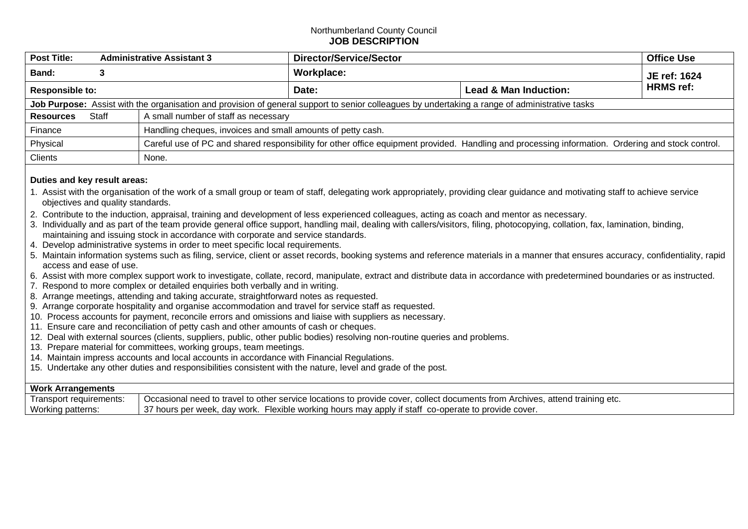## Northumberland County Council **JOB DESCRIPTION**

| <b>Post Title:</b>                                                                                                                             | <b>Administrative Assistant 3</b> |                                      | <b>Director/Service/Sector</b>                                                                                                                    |                                  | <b>Office Use</b> |  |  |
|------------------------------------------------------------------------------------------------------------------------------------------------|-----------------------------------|--------------------------------------|---------------------------------------------------------------------------------------------------------------------------------------------------|----------------------------------|-------------------|--|--|
| <b>Band:</b>                                                                                                                                   |                                   |                                      | Workplace:                                                                                                                                        |                                  | JE ref: 1624      |  |  |
| <b>Responsible to:</b>                                                                                                                         |                                   |                                      | Date:                                                                                                                                             | <b>Lead &amp; Man Induction:</b> | <b>HRMS</b> ref:  |  |  |
| Job Purpose: Assist with the organisation and provision of general support to senior colleagues by undertaking a range of administrative tasks |                                   |                                      |                                                                                                                                                   |                                  |                   |  |  |
| <b>Resources</b>                                                                                                                               | Staff                             | A small number of staff as necessary |                                                                                                                                                   |                                  |                   |  |  |
| Handling cheques, invoices and small amounts of petty cash.<br>Finance                                                                         |                                   |                                      |                                                                                                                                                   |                                  |                   |  |  |
| Physical                                                                                                                                       |                                   |                                      | Careful use of PC and shared responsibility for other office equipment provided. Handling and processing information. Ordering and stock control. |                                  |                   |  |  |
| <b>Clients</b>                                                                                                                                 |                                   | None.                                |                                                                                                                                                   |                                  |                   |  |  |

## **Duties and key result areas:**

- 1. Assist with the organisation of the work of a small group or team of staff, delegating work appropriately, providing clear guidance and motivating staff to achieve service objectives and quality standards.
- 2. Contribute to the induction, appraisal, training and development of less experienced colleagues, acting as coach and mentor as necessary.
- 3. Individually and as part of the team provide general office support, handling mail, dealing with callers/visitors, filing, photocopying, collation, fax, lamination, binding, maintaining and issuing stock in accordance with corporate and service standards.
- 4. Develop administrative systems in order to meet specific local requirements.
- 5. Maintain information systems such as filing, service, client or asset records, booking systems and reference materials in a manner that ensures accuracy, confidentiality, rapid access and ease of use.
- 6. Assist with more complex support work to investigate, collate, record, manipulate, extract and distribute data in accordance with predetermined boundaries or as instructed.
- 7. Respond to more complex or detailed enquiries both verbally and in writing.
- 8. Arrange meetings, attending and taking accurate, straightforward notes as requested.
- 9. Arrange corporate hospitality and organise accommodation and travel for service staff as requested.
- 10. Process accounts for payment, reconcile errors and omissions and liaise with suppliers as necessary.
- 11. Ensure care and reconciliation of petty cash and other amounts of cash or cheques.
- 12. Deal with external sources (clients, suppliers, public, other public bodies) resolving non-routine queries and problems.
- 13. Prepare material for committees, working groups, team meetings.
- 14. Maintain impress accounts and local accounts in accordance with Financial Regulations.
- 15. Undertake any other duties and responsibilities consistent with the nature, level and grade of the post.

## **Work Arrangements**

| Transport requirements: | <sup>1</sup> Occasional need to travel to other service locations to provide cover, collect documents from Archives, attend training etc. |
|-------------------------|-------------------------------------------------------------------------------------------------------------------------------------------|
| Working patterns:       | $\pm$ 37 hours per week, day work. Flexible working hours may apply if staff co-operate to provide cover.                                 |